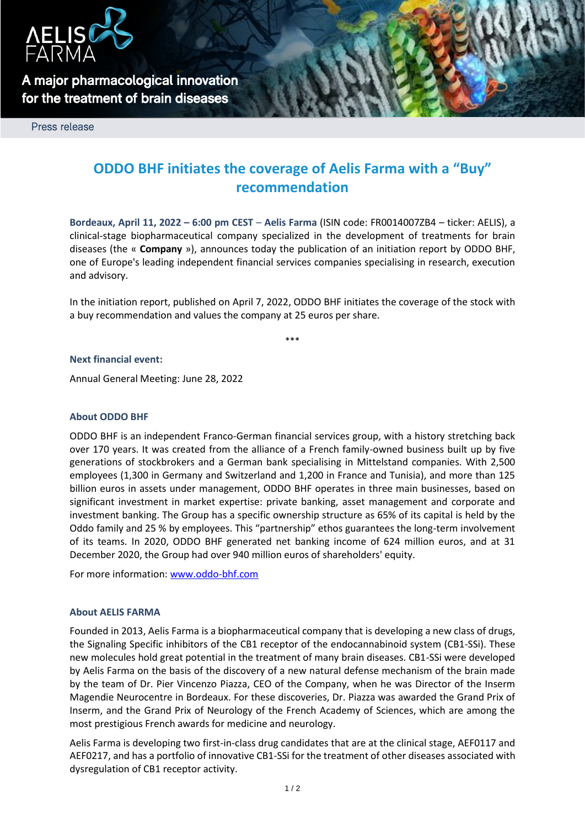

**A major pharmacological innovation for the treatment of brain diseases** 

Press release

# **ODDO BHF initiates the coverage of Aelis Farma with a "Buy" recommendation**

**Bordeaux, April 11, 2022 – 6:00 pm CEST** – **Aelis Farma** (ISIN code: FR0014007ZB4 – ticker: AELIS), a clinical-stage biopharmaceutical company specialized in the development of treatments for brain diseases (the « **Company** »), announces today the publication of an initiation report by ODDO BHF, one of Europe's leading independent financial services companies specialising in research, execution and advisory.

In the initiation report, published on April 7, 2022, ODDO BHF initiates the coverage of the stock with a buy recommendation and values the company at 25 euros per share.

\*\*\*

#### **Next financial event:**

Annual General Meeting: June 28, 2022

## **About ODDO BHF**

ODDO BHF is an independent Franco-German financial services group, with a history stretching back over 170 years. It was created from the alliance of a French family-owned business built up by five generations of stockbrokers and a German bank specialising in Mittelstand companies. With 2,500 employees (1,300 in Germany and Switzerland and 1,200 in France and Tunisia), and more than 125 billion euros in assets under management, ODDO BHF operates in three main businesses, based on significant investment in market expertise: private banking, asset management and corporate and investment banking. The Group has a specific ownership structure as 65% of its capital is held by the Oddo family and 25 % by employees. This "partnership" ethos guarantees the long-term involvement of its teams. In 2020, ODDO BHF generated net banking income of 624 million euros, and at 31 December 2020, the Group had over 940 million euros of shareholders' equity.

For more information: [www.oddo-bhf.com](http://www.oddo-bhf.com/)

#### **About AELIS FARMA**

Founded in 2013, Aelis Farma is a biopharmaceutical company that is developing a new class of drugs, the Signaling Specific inhibitors of the CB1 receptor of the endocannabinoid system (CB1-SSi). These new molecules hold great potential in the treatment of many brain diseases. CB1-SSi were developed by Aelis Farma on the basis of the discovery of a new natural defense mechanism of the brain made by the team of Dr. Pier Vincenzo Piazza, CEO of the Company, when he was Director of the Inserm Magendie Neurocentre in Bordeaux. For these discoveries, Dr. Piazza was awarded the Grand Prix of Inserm, and the Grand Prix of Neurology of the French Academy of Sciences, which are among the most prestigious French awards for medicine and neurology.

Aelis Farma is developing two first-in-class drug candidates that are at the clinical stage, AEF0117 and AEF0217, and has a portfolio of innovative CB1-SSi for the treatment of other diseases associated with dysregulation of CB1 receptor activity.